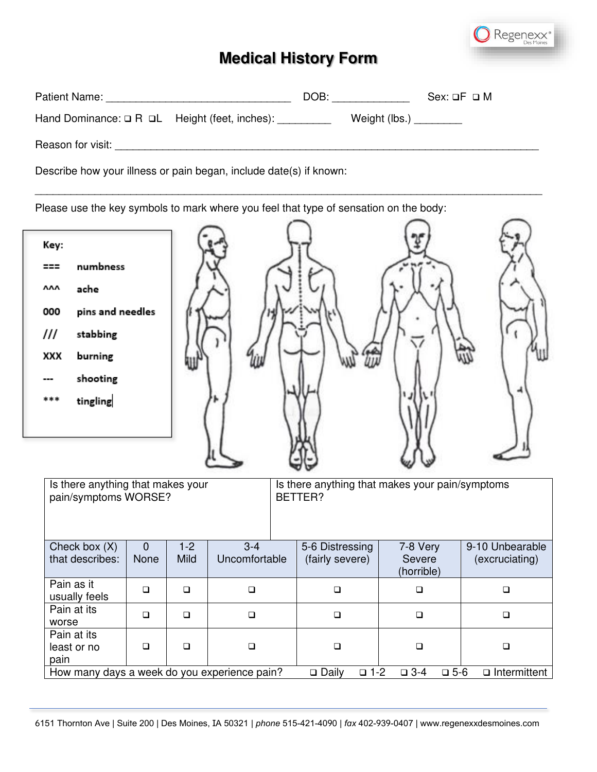

| Patient Name: The Contract of the Contract of the Contract of the Contract of the Contract of the Contract of the Contract of the Contract of the Contract of the Contract of the Contract of the Contract of the Contract of | DOB:                        | $Sex: \Box F \Box M$ |  |  |  |
|-------------------------------------------------------------------------------------------------------------------------------------------------------------------------------------------------------------------------------|-----------------------------|----------------------|--|--|--|
| Hand Dominance: $\Box$ R $\Box$ L Height (feet, inches):                                                                                                                                                                      | Weight (lbs.) $\frac{1}{2}$ |                      |  |  |  |
| Reason for visit: <b>Example 2018</b>                                                                                                                                                                                         |                             |                      |  |  |  |
| Describe how your illness or pain began, include date(s) if known:                                                                                                                                                            |                             |                      |  |  |  |

\_\_\_\_\_\_\_\_\_\_\_\_\_\_\_\_\_\_\_\_\_\_\_\_\_\_\_\_\_\_\_\_\_\_\_\_\_\_\_\_\_\_\_\_\_\_\_\_\_\_\_\_\_\_\_\_\_\_\_\_\_\_\_\_\_\_\_\_\_\_\_\_\_\_\_\_\_\_\_\_\_\_\_\_\_

Please use the key symbols to mark where you feel that type of sensation on the body:

| Key:<br>numbness<br>===<br>۸ΛΛ<br>ache<br>pins and needles<br>000<br>III<br>stabbing<br>XXX<br>burning<br>shooting<br>tingling<br>*** |                        |                 |                          |                                    |                                  |                                   |
|---------------------------------------------------------------------------------------------------------------------------------------|------------------------|-----------------|--------------------------|------------------------------------|----------------------------------|-----------------------------------|
| Is there anything that makes your<br>Is there anything that makes your pain/symptoms<br>pain/symptoms WORSE?<br>BETTER?               |                        |                 |                          |                                    |                                  |                                   |
| Check box (X)<br>that describes:                                                                                                      | $\overline{0}$<br>None | $1 - 2$<br>Mild | $3 - 4$<br>Uncomfortable | 5-6 Distressing<br>(fairly severe) | 7-8 Very<br>Severe<br>(horrible) | 9-10 Unbearable<br>(excruciating) |
| Pain as it<br>usually feels                                                                                                           | $\Box$                 | $\Box$          | $\Box$                   | $\Box$                             | $\Box$                           | $\Box$                            |
| Pain at its<br>worse                                                                                                                  | $\Box$                 | $\Box$          | $\Box$                   | $\Box$                             | $\Box$                           | $\Box$                            |
| Pain at its<br>least or no<br>pain                                                                                                    | □                      | $\Box$          | $\Box$                   | $\Box$                             | $\Box$                           | $\Box$                            |
| How many days a week do you experience pain?<br>$\square$ Daily<br>$\Box$ 1-2<br>$\Box$ 3-4<br>$\n  D 5-6$<br>$\Box$ Intermittent     |                        |                 |                          |                                    |                                  |                                   |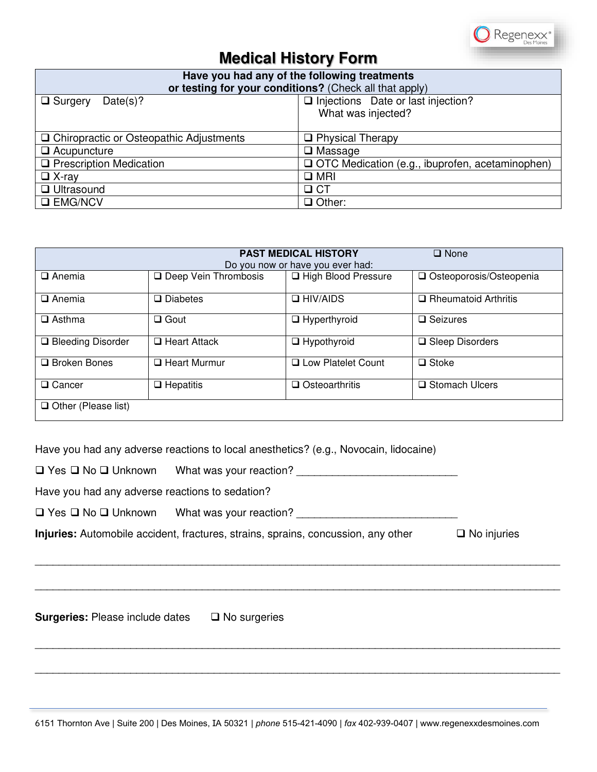

| Have you had any of the following treatments           |                                                   |  |  |  |
|--------------------------------------------------------|---------------------------------------------------|--|--|--|
| or testing for your conditions? (Check all that apply) |                                                   |  |  |  |
| $\Box$ Surgery<br>Date(s)?                             | $\Box$ Injections Date or last injection?         |  |  |  |
|                                                        | What was injected?                                |  |  |  |
|                                                        |                                                   |  |  |  |
| □ Chiropractic or Osteopathic Adjustments              | □ Physical Therapy                                |  |  |  |
| $\Box$ Acupuncture                                     | $\Box$ Massage                                    |  |  |  |
| $\Box$ Prescription Medication                         | □ OTC Medication (e.g., ibuprofen, acetaminophen) |  |  |  |
| $\Box$ X-ray                                           | $\square$ MRI                                     |  |  |  |
| <b>Q</b> Ultrasound                                    | $\Box$ CT                                         |  |  |  |
| <b>Q EMG/NCV</b>                                       | $\Box$ Other:                                     |  |  |  |

| <b>PAST MEDICAL HISTORY</b><br><b>Q</b> None |                        |                       |                           |  |  |
|----------------------------------------------|------------------------|-----------------------|---------------------------|--|--|
| Do you now or have you ever had:             |                        |                       |                           |  |  |
| $\Box$ Anemia                                | □ Deep Vein Thrombosis | □ High Blood Pressure | □ Osteoporosis/Osteopenia |  |  |
| $\Box$ Anemia                                | $\square$ Diabetes     | $\Box$ HIV/AIDS       | □ Rheumatoid Arthritis    |  |  |
| $\square$ Asthma                             | $\Box$ Gout            | $\Box$ Hyperthyroid   | $\Box$ Seizures           |  |  |
| $\Box$ Bleeding Disorder                     | $\Box$ Heart Attack    | $\Box$ Hypothyroid    | $\Box$ Sleep Disorders    |  |  |
| $\Box$ Broken Bones                          | $\Box$ Heart Murmur    | □ Low Platelet Count  | $\Box$ Stoke              |  |  |
| $\Box$ Cancer                                | $\Box$ Hepatitis       | $\Box$ Osteoarthritis | □ Stomach Ulcers          |  |  |
| $\Box$ Other (Please list)                   |                        |                       |                           |  |  |

Have you had any adverse reactions to local anesthetics? (e.g., Novocain, lidocaine)

❑ Yes ❑ No ❑ Unknown What was your reaction? \_\_\_\_\_\_\_\_\_\_\_\_\_\_\_\_\_\_\_\_\_\_\_\_\_\_\_

Have you had any adverse reactions to sedation?

❑ Yes ❑ No ❑ Unknown What was your reaction? \_\_\_\_\_\_\_\_\_\_\_\_\_\_\_\_\_\_\_\_\_\_\_\_\_\_\_

**Injuries:** Automobile accident, fractures, strains, sprains, concussion, any other ❑ No injuries

**Surgeries:** Please include dates ❑ No surgeries

\_\_\_\_\_\_\_\_\_\_\_\_\_\_\_\_\_\_\_\_\_\_\_\_\_\_\_\_\_\_\_\_\_\_\_\_\_\_\_\_\_\_\_\_\_\_\_\_\_\_\_\_\_\_\_\_\_\_\_\_\_\_\_\_\_\_\_\_\_\_\_\_\_\_\_\_\_\_\_\_\_\_\_\_\_\_\_\_

\_\_\_\_\_\_\_\_\_\_\_\_\_\_\_\_\_\_\_\_\_\_\_\_\_\_\_\_\_\_\_\_\_\_\_\_\_\_\_\_\_\_\_\_\_\_\_\_\_\_\_\_\_\_\_\_\_\_\_\_\_\_\_\_\_\_\_\_\_\_\_\_\_\_\_\_\_\_\_\_\_\_\_\_\_\_\_\_

\_\_\_\_\_\_\_\_\_\_\_\_\_\_\_\_\_\_\_\_\_\_\_\_\_\_\_\_\_\_\_\_\_\_\_\_\_\_\_\_\_\_\_\_\_\_\_\_\_\_\_\_\_\_\_\_\_\_\_\_\_\_\_\_\_\_\_\_\_\_\_\_\_\_\_\_\_\_\_\_\_\_\_\_\_\_\_\_

\_\_\_\_\_\_\_\_\_\_\_\_\_\_\_\_\_\_\_\_\_\_\_\_\_\_\_\_\_\_\_\_\_\_\_\_\_\_\_\_\_\_\_\_\_\_\_\_\_\_\_\_\_\_\_\_\_\_\_\_\_\_\_\_\_\_\_\_\_\_\_\_\_\_\_\_\_\_\_\_\_\_\_\_\_\_\_\_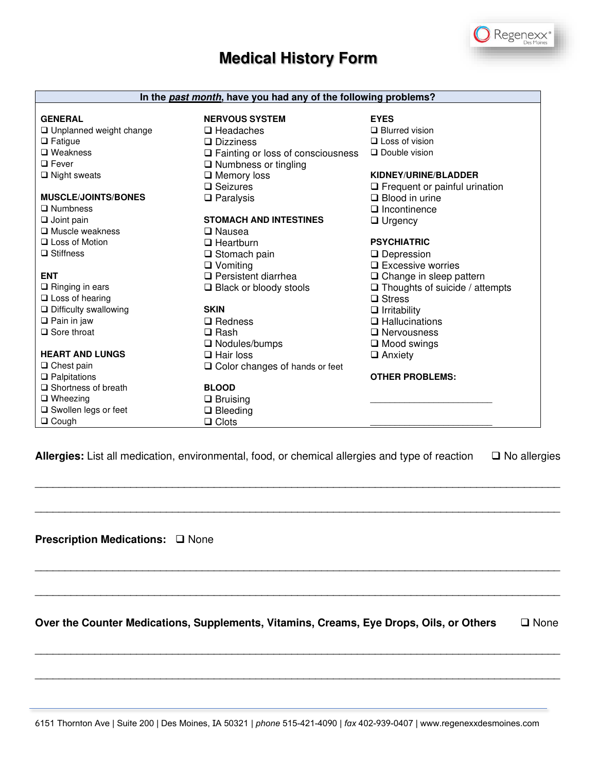

| In the past month, have you had any of the following problems? |                                       |                                       |  |  |
|----------------------------------------------------------------|---------------------------------------|---------------------------------------|--|--|
|                                                                |                                       |                                       |  |  |
| <b>GENERAL</b>                                                 | <b>NERVOUS SYSTEM</b>                 | <b>EYES</b>                           |  |  |
| □ Unplanned weight change                                      | $\Box$ Headaches                      | $\Box$ Blurred vision                 |  |  |
| $\Box$ Fatigue                                                 | $\Box$ Dizziness                      | $\Box$ Loss of vision                 |  |  |
| $\Box$ Weakness                                                | □ Fainting or loss of consciousness   | $\Box$ Double vision                  |  |  |
| $\Box$ Fever                                                   | □ Numbness or tingling                |                                       |  |  |
| $\Box$ Night sweats                                            | $\Box$ Memory loss                    | KIDNEY/URINE/BLADDER                  |  |  |
|                                                                | $\Box$ Seizures                       | $\Box$ Frequent or painful urination  |  |  |
| <b>MUSCLE/JOINTS/BONES</b>                                     | $\Box$ Paralysis                      | $\Box$ Blood in urine                 |  |  |
| $\Box$ Numbness                                                |                                       | $\Box$ Incontinence                   |  |  |
| $\Box$ Joint pain                                              | <b>STOMACH AND INTESTINES</b>         | $\Box$ Urgency                        |  |  |
| $\Box$ Muscle weakness                                         | $\Box$ Nausea                         |                                       |  |  |
| □ Loss of Motion                                               | $\Box$ Heartburn                      | <b>PSYCHIATRIC</b>                    |  |  |
| $\Box$ Stiffness                                               | $\Box$ Stomach pain                   | $\Box$ Depression                     |  |  |
|                                                                | $\Box$ Vomiting                       | $\Box$ Excessive worries              |  |  |
| <b>ENT</b>                                                     | $\Box$ Persistent diarrhea            | $\Box$ Change in sleep pattern        |  |  |
| $\Box$ Ringing in ears                                         | $\Box$ Black or bloody stools         | $\Box$ Thoughts of suicide / attempts |  |  |
| $\Box$ Loss of hearing                                         |                                       | $\Box$ Stress                         |  |  |
| $\Box$ Difficulty swallowing                                   | <b>SKIN</b>                           | $\Box$ Irritability                   |  |  |
| $\Box$ Pain in jaw                                             | $\Box$ Redness                        | $\Box$ Hallucinations                 |  |  |
| $\Box$ Sore throat                                             | $\square$ Rash                        | $\Box$ Nervousness                    |  |  |
|                                                                | $\Box$ Nodules/bumps                  | $\Box$ Mood swings                    |  |  |
| <b>HEART AND LUNGS</b>                                         | $\Box$ Hair loss                      | $\Box$ Anxiety                        |  |  |
| $\Box$ Chest pain                                              | $\Box$ Color changes of hands or feet |                                       |  |  |
| $\Box$ Palpitations                                            |                                       | <b>OTHER PROBLEMS:</b>                |  |  |
| $\Box$ Shortness of breath                                     | <b>BLOOD</b>                          |                                       |  |  |
| $\Box$ Wheezing                                                | $\Box$ Bruising                       |                                       |  |  |
| $\square$ Swollen legs or feet                                 | $\Box$ Bleeding                       |                                       |  |  |
| $\Box$ Cough                                                   | $\Box$ Clots                          |                                       |  |  |

**Allergies:** List all medication, environmental, food, or chemical allergies and type of reaction ❑ No allergies

\_\_\_\_\_\_\_\_\_\_\_\_\_\_\_\_\_\_\_\_\_\_\_\_\_\_\_\_\_\_\_\_\_\_\_\_\_\_\_\_\_\_\_\_\_\_\_\_\_\_\_\_\_\_\_\_\_\_\_\_\_\_\_\_\_\_\_\_\_\_\_\_\_\_\_\_\_\_\_\_\_\_\_\_\_\_\_\_

\_\_\_\_\_\_\_\_\_\_\_\_\_\_\_\_\_\_\_\_\_\_\_\_\_\_\_\_\_\_\_\_\_\_\_\_\_\_\_\_\_\_\_\_\_\_\_\_\_\_\_\_\_\_\_\_\_\_\_\_\_\_\_\_\_\_\_\_\_\_\_\_\_\_\_\_\_\_\_\_\_\_\_\_\_\_\_\_

\_\_\_\_\_\_\_\_\_\_\_\_\_\_\_\_\_\_\_\_\_\_\_\_\_\_\_\_\_\_\_\_\_\_\_\_\_\_\_\_\_\_\_\_\_\_\_\_\_\_\_\_\_\_\_\_\_\_\_\_\_\_\_\_\_\_\_\_\_\_\_\_\_\_\_\_\_\_\_\_\_\_\_\_\_\_\_\_

\_\_\_\_\_\_\_\_\_\_\_\_\_\_\_\_\_\_\_\_\_\_\_\_\_\_\_\_\_\_\_\_\_\_\_\_\_\_\_\_\_\_\_\_\_\_\_\_\_\_\_\_\_\_\_\_\_\_\_\_\_\_\_\_\_\_\_\_\_\_\_\_\_\_\_\_\_\_\_\_\_\_\_\_\_\_\_\_

**Prescription Medications:** ❑ None

**Over the Counter Medications, Supplements, Vitamins, Creams, Eye Drops, Oils, or Others** ❑ None

\_\_\_\_\_\_\_\_\_\_\_\_\_\_\_\_\_\_\_\_\_\_\_\_\_\_\_\_\_\_\_\_\_\_\_\_\_\_\_\_\_\_\_\_\_\_\_\_\_\_\_\_\_\_\_\_\_\_\_\_\_\_\_\_\_\_\_\_\_\_\_\_\_\_\_\_\_\_\_\_\_\_\_\_\_\_\_\_

\_\_\_\_\_\_\_\_\_\_\_\_\_\_\_\_\_\_\_\_\_\_\_\_\_\_\_\_\_\_\_\_\_\_\_\_\_\_\_\_\_\_\_\_\_\_\_\_\_\_\_\_\_\_\_\_\_\_\_\_\_\_\_\_\_\_\_\_\_\_\_\_\_\_\_\_\_\_\_\_\_\_\_\_\_\_\_\_

6151 Thornton Ave | Suite 200 | Des Moines, IA 50321 *| phone* 515-421-4090 | *fax* 402-939-0407 | www.regenexxdesmoines.com